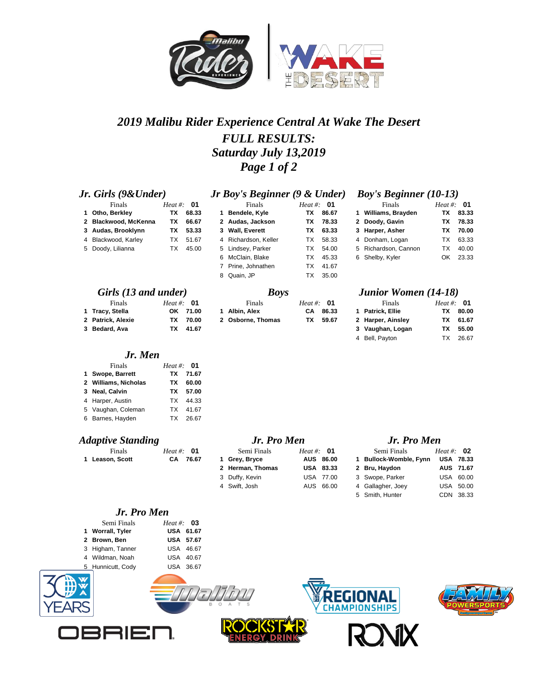

## *2019 Malibu Rider Experience Central At Wake The Desert FULL RESULTS: Saturday July 13,2019 Page 1 of 2*

6 McClain, Blake TX 45.33 7 Prine, Johnathen TX 41.67 8 Quain, JP TX 35.00

**1** Bendele, Kyle

### *Jr. Girls (9&Under) <i>Jr Boy's Beginner (9 & Under)*

**Finals**<br> **Finals**<br> **Finals**<br> **Finals**<br> **Finals**<br> **Heat #: 01**<br> **Finals**<br> **Finals**<br> **Finals**<br> **Finals**<br> **Finals**<br> **Finals**<br> **Finals**<br> **Finals**<br> **Finals**<br> **Finals**<br> **Finals**<br> **Finals**<br> **Finals**<br> **Finals**<br> **Finals**<br> **Fina 2 Blackwood, McKenna TX 66.67 2 Audas, Jackson TX 78.33 2 Doody, Gavin TX 78.33 3 Audas, Brooklynn TX 53.33 3 Wall, Everett TX 63.33 3 Harper, Asher TX 70.00** 4 Blackwood, Karley TX 51.67 4 Richardson, Keller TX 58.33 5 Doody, Lilianna TX 45.00 5 Lindsey, Parker TX 54.00

| Finals            | Heat #: $\theta$ 1 |          |
|-------------------|--------------------|----------|
| 1 Tracy, Stella   |                    | OK 71.00 |
| 2 Patrick, Alexie |                    | TX 70.00 |
| 3 Bedard, Ava     |                    | TX 41.67 |

### *Jr. Men*

| Finals               | Heat #: $\theta$ 1 |          |
|----------------------|--------------------|----------|
| 1 Swope, Barrett     |                    | TX 71.67 |
| 2 Williams, Nicholas | TX.                | 60.00    |
| 3 Neal, Calvin       |                    | TX 57.00 |
| 4 Harper, Austin     |                    | TX 44.33 |
| 5 Vaughan, Coleman   | TX.                | 41.67    |
| 6 Barnes, Hayden     |                    | TX 26.67 |

### *Adaptive Standing Jr. Pro Men Jr. Pro Men*

| Finals          | Heat #: $\theta$ 1 | Semi Finals   | <i>Heat</i> #: $\theta$ 1 | Semi Finals                      | Heat #: $02$ |
|-----------------|--------------------|---------------|---------------------------|----------------------------------|--------------|
| 1 Leason, Scott | CA 76.67           | 1 Grev. Brvce | AUS 86.00                 | 1 Bullock-Womble, Fynn USA 78.3. |              |
|                 |                    |               | $\cdots$                  |                                  |              |

### *Jr. Pro Men*

| Semi Finals       | Heat #: $\bullet$ 3 |  |
|-------------------|---------------------|--|
| 1 Worrall, Tyler  | USA 61.67           |  |
| 2 Brown, Ben      | <b>USA 57.67</b>    |  |
| 3 Higham, Tanner  | USA 46.67           |  |
| 4 Wildman, Noah   | USA 40.67           |  |
| 5 Hunnicutt, Cody | USA 36.67           |  |
|                   |                     |  |











 **Leason, Scott CA 76.67 1 Grey, Bryce AUS 86.00 1 Bullock-Womble, Fynn USA 78.33 Herman, Thomas USA 83.33 2 Bru, Haydon AUS 71.67** Duffy, Kevin USA 77.00 3 Swope, Parker USA 60.00 Swift, Josh AUS 66.00 4 Gallagher, Joey USA 50.00



### *Girls (13 and under) Boys Junior Women (14-18)*

| Finals            | Heat #: $\theta$ 1 |          | Finals            | Heat #: $\theta$ 1 |       | Finals                | Heat #: $\theta$ 1 |          |
|-------------------|--------------------|----------|-------------------|--------------------|-------|-----------------------|--------------------|----------|
| 1 Tracy, Stella   |                    | OK 71.00 | Albin, Alex       | CA.                | 86.33 | <b>Patrick, Ellie</b> | TX                 | 80.00    |
| 2 Patrick, Alexie | ΤХ                 | 70.00    | 2 Osborne, Thomas | ТΧ                 | 59.67 | 2 Harper, Ainsley     |                    | TX 61.67 |
| 3 Bedard. Ava     | тх —               | 41.67    |                   |                    |       | 3 Vaughan, Logan      | ТΧ                 | 55.00    |
|                   |                    |          |                   |                    |       | 4 Bell, Pavton        | тχ                 | 26.67    |

5 Smith, Hunter CDN 38.33

| Finals            | Heat #: $\Box$ |     |
|-------------------|----------------|-----|
| 1 Patrick, Ellie  | тх             | 80. |
| 2 Harper, Ainsley | TX.            | 61. |
| 3 Vaughan, Logan  | TX.            | 55. |
| 4 Bell, Payton    | TX.            | 26. |

| Finals               | Heat #: $\theta$ 1 |          |
|----------------------|--------------------|----------|
| 1 Williams, Brayden  | TX.                | 83.33    |
| 2 Doody, Gavin       |                    | TX 78.33 |
| 3 Harper, Asher      |                    | TX 70.00 |
| 4 Donham, Logan      | TX.                | 63.33    |
| 5 Richardson, Cannon | TX.                | 40.00    |
| 6 Shelby, Kyler      |                    | OK 23.33 |
|                      |                    |          |